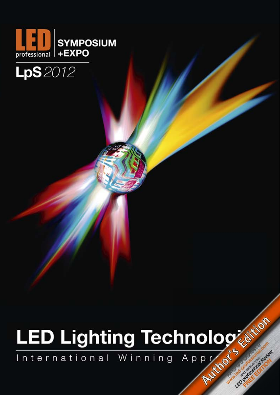

### **LpS** 2012

# ILED Lighting Technologistics LED Protectional Review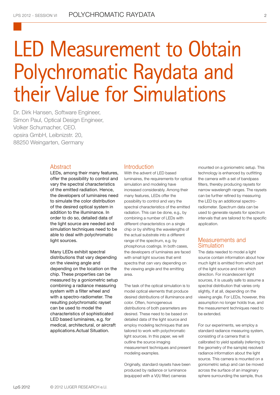## LED Measurement to Obtain Polychromatic Raydata and their Value for Simulations

Dr. Dirk Hansen, Software Engineer, Simon Paul, Optical Design Engineer, Volker Schumacher, CEO. opsira GmbH, Leibnizstr. 20, 88250 Weingarten, Germany

#### Abstract

LEDs, among their many features, offer the possibility to control and vary the spectral characteristics of the emitted radiation. Hence, the developers of luminaires need to simulate the color distribution of the desired optical system in addition to the illuminance. In order to do so, detailed data of the light source are needed and simulation techniques need to be able to deal with polychromatic light sources.

Many LEDs exhibit spectral distributions that vary depending on the viewing angle and depending on the location on the chip. These properties can be measured by a goniometric setup combining a radiance measuring system with a filter wheel and with a spectro-radiometer. The resulting polychromatic rayset can be used to model the characteristics of sophisticated LED based luminaires, e.g. for medical, architectural, or aircraft applications.Actual Situation.

#### Introduction

With the advent of LED based luminaires, the requirements for optical simulation and modeling have increased considerably. Among their many features, LEDs offer the possibility to control and vary the spectral characteristics of the emitted radiation. This can be done, e.g., by combining a number of LEDs with different characteristics on a single chip or by shifting the wavelengths of the actual substrate into a different range of the spectrum, e.g. by phosphorus coatings. In both cases, the developers of luminaires are faced with small light sources that emit spectra that can vary depending on the viewing angle and the emitting area.

The task of the optical simulation is to model optical elements that produce desired distributions of illuminance and color. Often, homogeneous distributions of both parameters are desired. These need to be based on detailed data of the light source and employ modeling techniques that are tailored to work with polychromatic light sources. In this paper, we will outline the source imaging measurement techniques and present modeling examples.

Originally, standard raysets have been produced by radiance or luminance (equipped with a V(λ) filter) cameras

mounted on a goniometric setup. This technology is enhanced by outfitting the camera with a set of bandpass filters, thereby producing raysets for narrow wavelength ranges. The raysets can be further refined by measuring the LED by an additional spectroradiometer. Spectrum data can be used to generate raysets for spectrum intervals that are tailored to the specific application.

#### Measurements and **Simulation**

The data needed to model a light source contain information about how much light is emitted from which part of the light source and into which direction. For incandescent light sources, it is usually safe to assume a spectral distribution that varies only slightly, if at all, depending on the viewing angle. For LEDs, however, this assumption no longer holds true, and the measurement techniques need to be extended.

For our experiments, we employ a standard radiance measuring system, consisting of a camera that is calibrated to yield spatially (referring to the geometry of the sample) resolved radiance information about the light source. This camera is mounted on a goniometric setup and can be moved across the surface of an imaginary sphere surrounding the sample, thus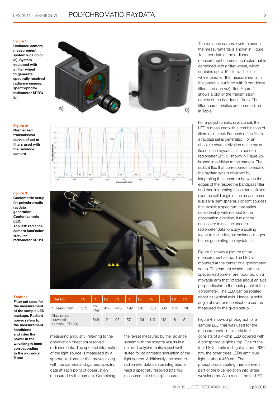#### **Figure 1:**

**Radiance camera measurement system luca'color (a). System equipped with a filter wheel to generate spectrally resolved radiance images. spectrophoto/ radiometer SPR'3 (b)**





#### **Figure 3:**

**Figure 2: Normalized transmission curves of set of filters used with the radiance camera**

**Goniometric setup for polychromatic raydata generation. Center: sample LED. Top left: radiance camera luca'color, spectroradiometer SPR'3**



#### **Table 1:**

**Filter set used for the measurement of the sample LED package. Radiant power refers to the measurement conditions and cites the power in the wavelength band corresponding to the individual filters** 

| Filter No.                                                                               |     |                 |    |    | F0   F1   F2   F3   F4   F5   F6   F7   F8 |         |      | F9  |
|------------------------------------------------------------------------------------------|-----|-----------------|----|----|--------------------------------------------|---------|------|-----|
| $\lambda$ (peak) / nm V( $\lambda$ ) $\frac{100}{\text{filter}}$ 417 448 492 545 588 630 |     |                 |    |    |                                            |         | 670  | 716 |
| Abs. radiant<br>power of<br>sample LED (W)                                               | 546 | 12 <sup>7</sup> | 95 | 57 | 134                                        | 113 112 | 18 5 |     |
|                                                                                          |     |                 |    |    |                                            |         |      |     |

measuring angularly (referring to the observation direction) resolved radiance data. The spectral information of the light source is measured by a spectro-radiometer that moves along with the camera and gathers spectral data at each point of observation measured by the camera. Combining

the rayset measured by the radiance system with the spectra results in a detailed polychromatic rayset well suited for colorimetric simulation of the light source. Additionally, the spectroradiometer data can be integrated to yield a spectrally resolved total flux measurement of the light source.

The radiance camera system used in the measurements is shown in Figure 1a. It consists of the radiance measurement camera luca'color that is combined with a filter wheel, which contains up to 10 filters. The filter wheel used for the measurements in this paper is outfitted with 9 bandpass filters and one V(λ) filter. Figure 2 shows a plot of the transmission curves of the bandpass filters. The filter characteristics are summarized in Table 1.

For a polychromatic raydata set, the LED is measured with a combination of filters of interest. For each of the filters, a raydata set is generated. For an absolute characterization of the radiant flux of each raydata set, a spectroradiometer SPR'3 (shown in Figure 2b) is used in addition to the camera. The radiant flux that corresponds to each of the raydata sets is obtained by integrating the spectrum between the edges of the respective bandpass filter and then integrating these partial fluxes over the solid angle of the measurement (usually a hemisphere). For light sources that exhibit a spectrum that varies considerably with respect to the observation direction, it might be necessary to use the spectroradiometer data to apply a scaling factor to the individual radiance images before generating the raydata set.

Figure 3 shows a picture of the measurement setup. The LED is mounted at the center of a goniometric setup. The camera system and the spectro-radiometer are mounted on a movable arm that rotates about an axis perpendicular to the back panel of the goniometer. The LED can be rotated about its vertical axis. Hence, a solid angle of over one hemisphere can be measured by the given setup.

Figure 4 shows a photograph of a sample LED that was used for the measurements in this article. It consists of a 4-chip LED covered with a phosphorous globe top. One of the four LEDs emits red light at about 630 nm, the other three LEDs emit blue light at about 450 nm. The phosphorous coating then converts part of the blue radiation into larger wavelengths. As a result, the full LED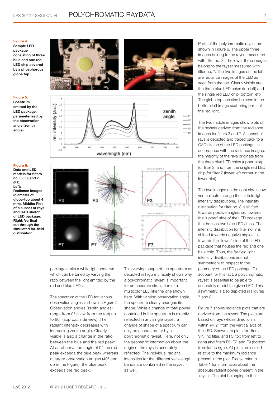#### **Figure 4:**

**Sample LED package consisting of three blue and one red LED chip covered by a phosphorous globe top**

#### **Figure 5:**

**Spectrum emitted by the LED package, parameterized by the observation angle (zenith angle)**

#### **Figure 6:**

**Data and LED models for filters no. 3 (F3) and 7 (F7). Left: Radiance images (diameter of globe-top about 4 mm). Middle: Plot of a subset of rays and CAD sketch of LED package. Right: Vertical cut through the simulated far-field distribution**









package emits a white light spectrum, which can be tuned by varying the ratio between the light emitted by the red and blue LEDs.

The spectrum of the LED for various observation angles is shown in Figure 5. Observation angles (zenith angles) range from 0° (view from the top) up to 80° (approx.. side view). The radiant intensity decreases with increasing zenith angle. Clearly visible is also a change in the ratio between the blue and the red peak: At an observation angle of 0° the red peak exceeds the blue peak whereas at larger observation angles (40° and up in the Figure), the blue peak exceeds the red peak.

This varying shape of the spectrum as depicted in Figure 5 nicely shows why a polychromatic rayset is important for an accurate simulation of a multicolor LED like the one shown here. With varying observation angle, the spectrum clearly changes its shape. While a change of total power contained in the spectrum is directly reflected in any single rayset, a change of shape of a spectrum can only be accounted for by a polychromatic rayset. Here, not only the geometric information about the origin of the rays is accurately reflected. The individual radiant intensities for the different wavelength bands are contained in the rayset as well.

Parts of the polychromatic rayset are shown in Figure 6. The upper three images belong to the rayset measured with filter no. 3. The lower three images belong to the rayset measured with filter no. 7. The two images on the left are radiance images of the LED as seen from the top. Clearly visible are the three blue LED chips (top left) and the single red LED chip (bottom left). The globe top can also be seen in the bottom left image scattering parts of the red light.

The two middle images show plots of the raysets derived from the radiance images for filters 3 and 7. A subset of rays is depicted and traced back to a CAD sketch of the LED package. In accordance with the radiance images, the majority of the rays originate from the three blue LED chips (upper plot) for filter 3, and from the single red LED chip for filter 7 (lower left corner in the lower plot).

The two images on the right side show vertical cuts through the far-field light intensity distributions. The intensity distribution for filter no. 3 is shifted towards positive angles, i.e. towards the "upper" side of the LED package that houses two blue LED chips. The intensity distribution for filter no. 7 is shifted towards negative angles, i.e. towards the "lower" side of the LED package that houses the red and one blue chip. Thus, the far-field light intensity distributions are not symmetric with respect to the geometry of the LED package. To account for this fact, a polychromatic rayset is essential to be able to accurately model the given LED. This asymmetry is also depicted in Figures 7 and 8.

Figure 7 shows radiance plots that are derived from the rayset. The plots are based on rays whose direction is within +/- 2° from the vertical axis of the LED. Shown are plots for filters V(λ), no filter, and F3 (top from left to right) and filters F5, F7, and F9 (bottom from left to right). All plots are scaled relative to the maximum radiance present in the plot. Please refer to Table 1 for information about the absolute radiant power present in the rayset. The plot belonging to the